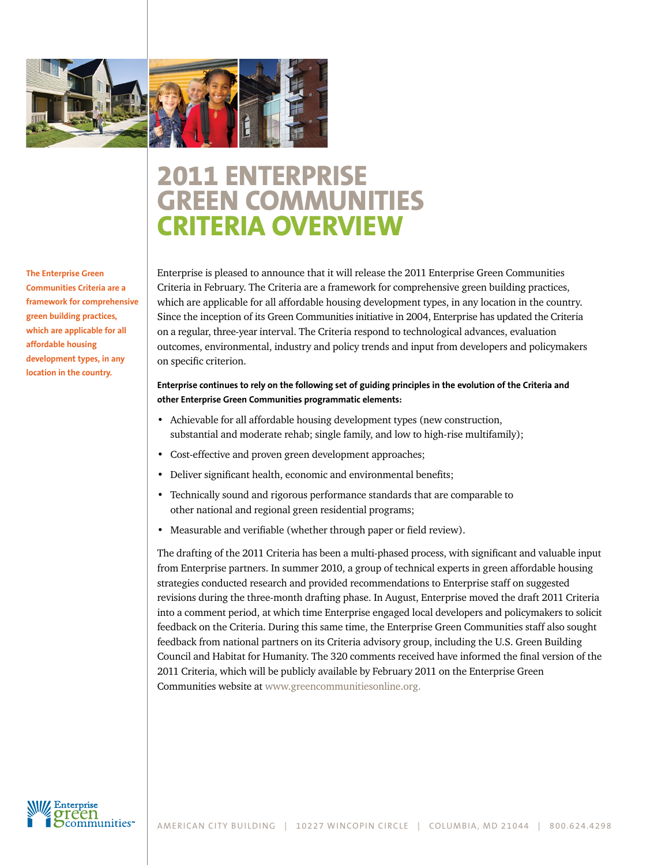

# **2011 Enterprise Green Communities Criteria overview**

**The Enterprise Green Communities Criteria are a framework for comprehensive green building practices, which are applicable for all affordable housing development types, in any location in the country.** 

Enterprise is pleased to announce that it will release the 2011 Enterprise Green Communities Criteria in February. The Criteria are a framework for comprehensive green building practices, which are applicable for all affordable housing development types, in any location in the country. Since the inception of its Green Communities initiative in 2004, Enterprise has updated the Criteria on a regular, three-year interval. The Criteria respond to technological advances, evaluation outcomes, environmental, industry and policy trends and input from developers and policymakers on specific criterion.

## **Enterprise continues to rely on the following set of guiding principles in the evolution of the Criteria and other Enterprise Green Communities programmatic elements:**

- • Achievable for all affordable housing development types (new construction, substantial and moderate rehab; single family, and low to high-rise multifamily);
- Cost-effective and proven green development approaches;
- Deliver significant health, economic and environmental benefits;
- • Technically sound and rigorous performance standards that are comparable to other national and regional green residential programs;
- Measurable and verifiable (whether through paper or field review).

The drafting of the 2011 Criteria has been a multi-phased process, with significant and valuable input from Enterprise partners. In summer 2010, a group of technical experts in green affordable housing strategies conducted research and provided recommendations to Enterprise staff on suggested revisions during the three-month drafting phase. In August, Enterprise moved the draft 2011 Criteria into a comment period, at which time Enterprise engaged local developers and policymakers to solicit feedback on the Criteria. During this same time, the Enterprise Green Communities staff also sought feedback from national partners on its Criteria advisory group, including the U.S. Green Building Council and Habitat for Humanity. The 320 comments received have informed the final version of the 2011 Criteria, which will be publicly available by February 2011 on the Enterprise Green Communities website at [www.greencommunitiesonline.org.](http://www.greencommunitiesonline.org/%22 %5Co %22http://www.greencommunitiesonline.org/)

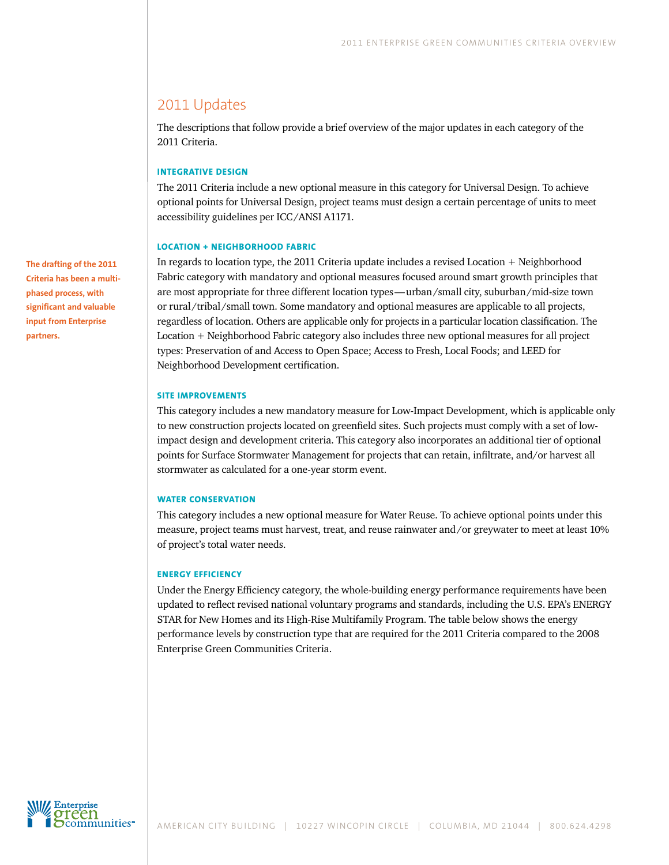# 2011 Updates

The descriptions that follow provide a brief overview of the major updates in each category of the 2011 Criteria.

## **Integrative Design**

The 2011 Criteria include a new optional measure in this category for Universal Design. To achieve optional points for Universal Design, project teams must design a certain percentage of units to meet accessibility guidelines per ICC/ANSI A1171.

## **Location + Neighborhood Fabric**

In regards to location type, the 2011 Criteria update includes a revised Location + Neighborhood Fabric category with mandatory and optional measures focused around smart growth principles that are most appropriate for three different location types—urban/small city, suburban/mid-size town or rural/tribal/small town. Some mandatory and optional measures are applicable to all projects, regardless of location. Others are applicable only for projects in a particular location classification. The Location + Neighborhood Fabric category also includes three new optional measures for all project types: Preservation of and Access to Open Space; Access to Fresh, Local Foods; and LEED for Neighborhood Development certification.

## **Site Improvements**

This category includes a new mandatory measure for Low-Impact Development, which is applicable only to new construction projects located on greenfield sites. Such projects must comply with a set of lowimpact design and development criteria. This category also incorporates an additional tier of optional points for Surface Stormwater Management for projects that can retain, infiltrate, and/or harvest all stormwater as calculated for a one-year storm event.

## **Water Conservation**

This category includes a new optional measure for Water Reuse. To achieve optional points under this measure, project teams must harvest, treat, and reuse rainwater and/or greywater to meet at least 10% of project's total water needs.

## **Energy Efficiency**

Under the Energy Efficiency category, the whole-building energy performance requirements have been updated to reflect revised national voluntary programs and standards, including the U.S. EPA's ENERGY STAR for New Homes and its High-Rise Multifamily Program. The table below shows the energy performance levels by construction type that are required for the 2011 Criteria compared to the 2008 Enterprise Green Communities Criteria.

**The drafting of the 2011 Criteria has been a multiphased process, with significant and valuable input from Enterprise partners.** 

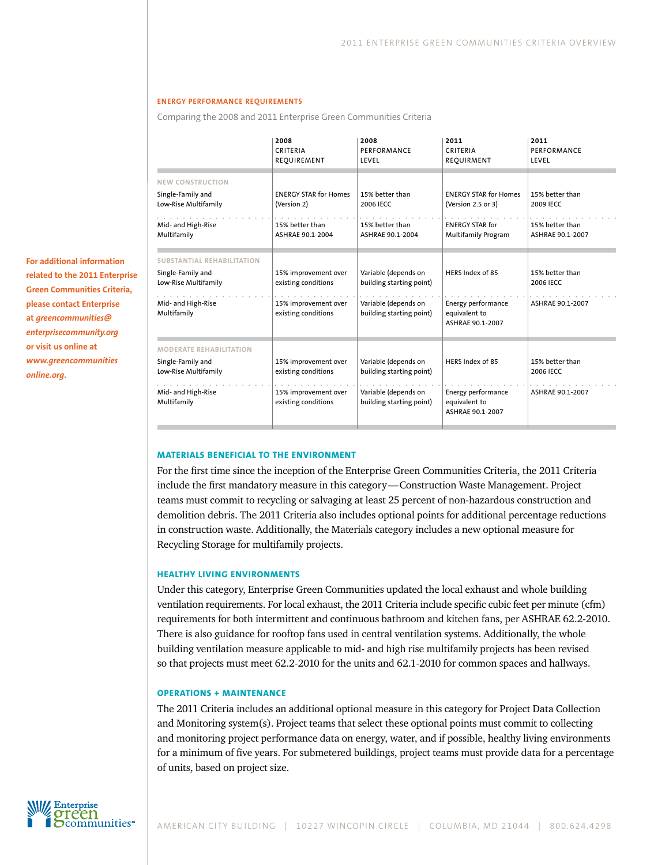#### **Energy Performance requirements**

Comparing the 2008 and 2011 Enterprise Green Communities Criteria

| For additional information         |
|------------------------------------|
| related to the 2011 Enterprise     |
| <b>Green Communities Criteria,</b> |
| please contact Enterprise          |
| at greencommunities@               |
| enterprisecommunity.org            |
| or visit us online at              |
| www.greencommunities               |
| online.org.                        |

|                                                                                                                     | 2008<br>CRITERIA<br>REOUIREMENT                                                            | 2008<br>PERFORMANCE<br>LEVEL                                                                         | 2011<br>CRITERIA<br>REOUIRMENT                                                     | 2011<br>PERFORMANCE<br>LEVEL                     |
|---------------------------------------------------------------------------------------------------------------------|--------------------------------------------------------------------------------------------|------------------------------------------------------------------------------------------------------|------------------------------------------------------------------------------------|--------------------------------------------------|
| <b>NEW CONSTRUCTION</b><br>Single-Family and<br>Low-Rise Multifamily                                                | <b>ENERGY STAR for Homes</b><br>(Version 2)                                                | 15% better than<br>2006 IECC                                                                         | <b>ENERGY STAR for Homes</b><br>(Version 2.5 or 3)                                 | 15% better than<br>2009 IECC                     |
| Mid- and High-Rise<br>Multifamily                                                                                   | 15% better than<br>ASHRAE 90.1-2004                                                        | 15% better than<br>ASHRAE 90.1-2004                                                                  | <b>ENERGY STAR for</b><br><b>Multifamily Program</b>                               | 15% better than<br>ASHRAE 90.1-2007              |
| <b>SUBSTANTIAL REHABILITATION</b><br>Single-Family and<br>Low-Rise Multifamily<br>Mid- and High-Rise<br>Multifamily | 15% improvement over<br>existing conditions<br>15% improvement over<br>existing conditions | Variable (depends on<br>building starting point)<br>Variable (depends on<br>building starting point) | HERS Index of 85<br><b>Energy performance</b><br>equivalent to<br>ASHRAE 90.1-2007 | 15% better than<br>2006 IECC<br>ASHRAE 90.1-2007 |
| <b>MODERATE REHABILITATION</b><br>Single-Family and<br>Low-Rise Multifamily<br>Mid- and High-Rise<br>Multifamily    | 15% improvement over<br>existing conditions<br>15% improvement over<br>existing conditions | Variable (depends on<br>building starting point)<br>Variable (depends on<br>building starting point) | HERS Index of 85<br><b>Energy performance</b><br>equivalent to<br>ASHRAE 90.1-2007 | 15% better than<br>2006 IECC<br>ASHRAE 90.1-2007 |

#### **Materials Beneficial to the Environment**

For the first time since the inception of the Enterprise Green Communities Criteria, the 2011 Criteria include the first mandatory measure in this category—Construction Waste Management. Project teams must commit to recycling or salvaging at least 25 percent of non-hazardous construction and demolition debris. The 2011 Criteria also includes optional points for additional percentage reductions in construction waste. Additionally, the Materials category includes a new optional measure for Recycling Storage for multifamily projects.

## **Healthy Living Environments**

Under this category, Enterprise Green Communities updated the local exhaust and whole building ventilation requirements. For local exhaust, the 2011 Criteria include specific cubic feet per minute (cfm) requirements for both intermittent and continuous bathroom and kitchen fans, per ASHRAE 62.2-2010. There is also guidance for rooftop fans used in central ventilation systems. Additionally, the whole building ventilation measure applicable to mid- and high rise multifamily projects has been revised so that projects must meet 62.2-2010 for the units and 62.1-2010 for common spaces and hallways.

## **Operations + Maintenance**

The 2011 Criteria includes an additional optional measure in this category for Project Data Collection and Monitoring system(s). Project teams that select these optional points must commit to collecting and monitoring project performance data on energy, water, and if possible, healthy living environments for a minimum of five years. For submetered buildings, project teams must provide data for a percentage of units, based on project size.

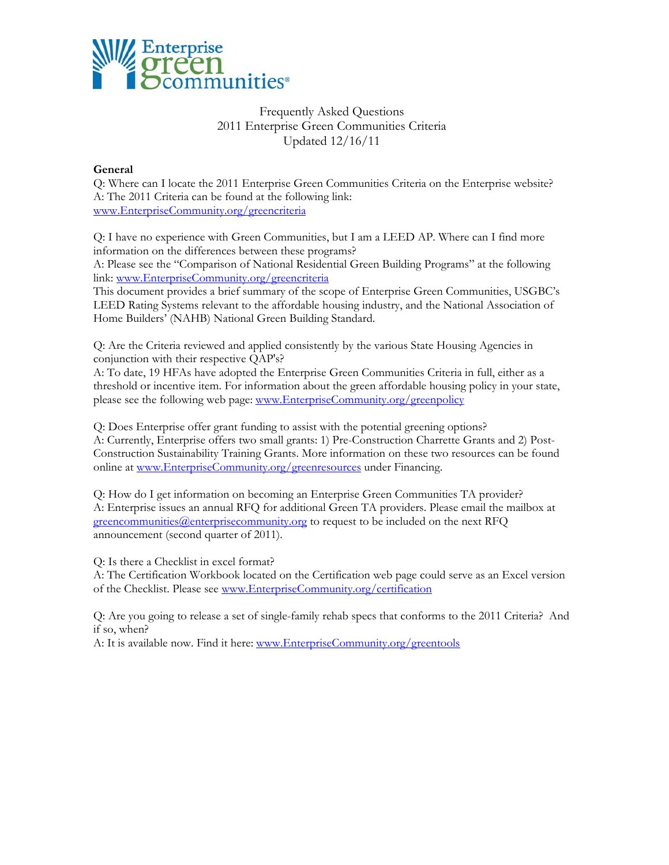

# Frequently Asked Questions 2011 Enterprise Green Communities Criteria Updated 12/16/11

## **General**

Q: Where can I locate the 2011 Enterprise Green Communities Criteria on the Enterprise website? A: The 2011 Criteria can be found at the following link: www.EnterpriseCommunity.org/greencriteria

Q: I have no experience with Green Communities, but I am a LEED AP. Where can I find more information on the differences between these programs?

A: Please see the "Comparison of National Residential Green Building Programs" at the following link: www.EnterpriseCommunity.org/greencriteria

This document provides a brief summary of the scope of Enterprise Green Communities, USGBC's LEED Rating Systems relevant to the affordable housing industry, and the National Association of Home Builders' (NAHB) National Green Building Standard.

Q: Are the Criteria reviewed and applied consistently by the various State Housing Agencies in conjunction with their respective QAP's?

A: To date, 19 HFAs have adopted the Enterprise Green Communities Criteria in full, either as a threshold or incentive item. For information about the green affordable housing policy in your state, please see the following web page: www.EnterpriseCommunity.org/greenpolicy

Q: Does Enterprise offer grant funding to assist with the potential greening options? A: Currently, Enterprise offers two small grants: 1) Pre-Construction Charrette Grants and 2) Post-Construction Sustainability Training Grants. More information on these two resources can be found online at www.EnterpriseCommunity.org/greenresources under Financing.

Q: How do I get information on becoming an Enterprise Green Communities TA provider? A: Enterprise issues an annual RFQ for additional Green TA providers. Please email the mailbox at greencommunities@enterprisecommunity.org to request to be included on the next RFQ announcement (second quarter of 2011).

Q: Is there a Checklist in excel format?

A: The Certification Workbook located on the Certification web page could serve as an Excel version of the Checklist. Please see www.EnterpriseCommunity.org/certification

Q: Are you going to release a set of single-family rehab specs that conforms to the 2011 Criteria? And if so, when?

A: It is available now. Find it here: www.EnterpriseCommunity.org/greentools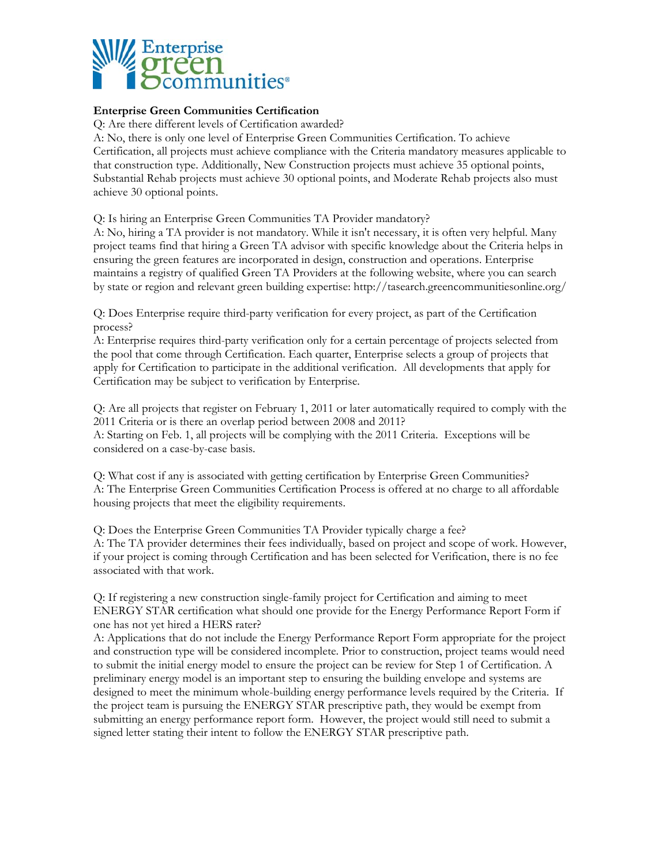

# **Enterprise Green Communities Certification**

Q: Are there different levels of Certification awarded?

A: No, there is only one level of Enterprise Green Communities Certification. To achieve Certification, all projects must achieve compliance with the Criteria mandatory measures applicable to that construction type. Additionally, New Construction projects must achieve 35 optional points, Substantial Rehab projects must achieve 30 optional points, and Moderate Rehab projects also must achieve 30 optional points.

Q: Is hiring an Enterprise Green Communities TA Provider mandatory?

A: No, hiring a TA provider is not mandatory. While it isn't necessary, it is often very helpful. Many project teams find that hiring a Green TA advisor with specific knowledge about the Criteria helps in ensuring the green features are incorporated in design, construction and operations. Enterprise maintains a registry of qualified Green TA Providers at the following website, where you can search by state or region and relevant green building expertise: http://tasearch.greencommunitiesonline.org/

Q: Does Enterprise require third-party verification for every project, as part of the Certification process?

A: Enterprise requires third-party verification only for a certain percentage of projects selected from the pool that come through Certification. Each quarter, Enterprise selects a group of projects that apply for Certification to participate in the additional verification. All developments that apply for Certification may be subject to verification by Enterprise.

Q: Are all projects that register on February 1, 2011 or later automatically required to comply with the 2011 Criteria or is there an overlap period between 2008 and 2011? A: Starting on Feb. 1, all projects will be complying with the 2011 Criteria. Exceptions will be considered on a case-by-case basis.

Q: What cost if any is associated with getting certification by Enterprise Green Communities? A: The Enterprise Green Communities Certification Process is offered at no charge to all affordable housing projects that meet the eligibility requirements.

Q: Does the Enterprise Green Communities TA Provider typically charge a fee? A: The TA provider determines their fees individually, based on project and scope of work. However, if your project is coming through Certification and has been selected for Verification, there is no fee associated with that work.

Q: If registering a new construction single-family project for Certification and aiming to meet ENERGY STAR certification what should one provide for the Energy Performance Report Form if one has not yet hired a HERS rater?

A: Applications that do not include the Energy Performance Report Form appropriate for the project and construction type will be considered incomplete. Prior to construction, project teams would need to submit the initial energy model to ensure the project can be review for Step 1 of Certification. A preliminary energy model is an important step to ensuring the building envelope and systems are designed to meet the minimum whole-building energy performance levels required by the Criteria. If the project team is pursuing the ENERGY STAR prescriptive path, they would be exempt from submitting an energy performance report form. However, the project would still need to submit a signed letter stating their intent to follow the ENERGY STAR prescriptive path.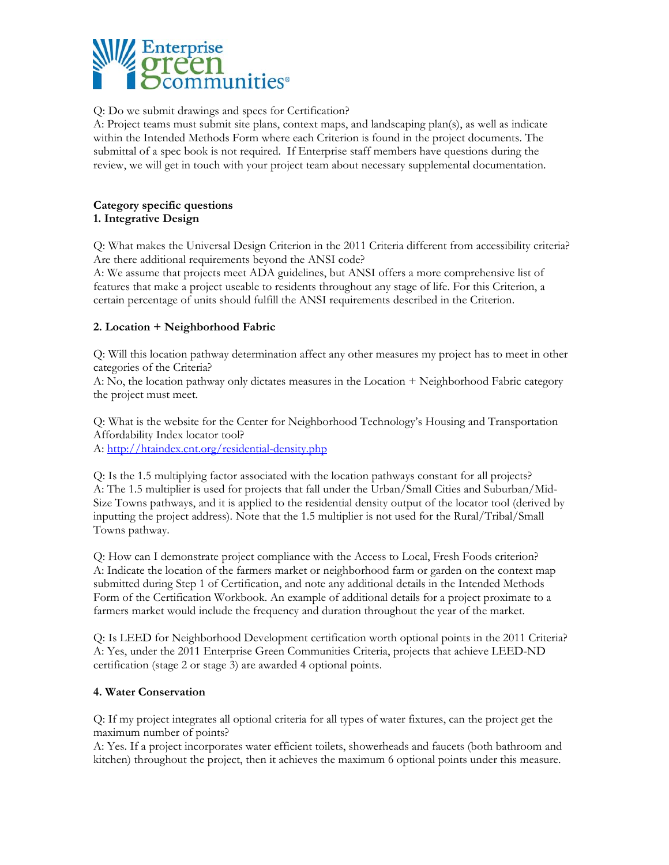

Q: Do we submit drawings and specs for Certification?

A: Project teams must submit site plans, context maps, and landscaping plan(s), as well as indicate within the Intended Methods Form where each Criterion is found in the project documents. The submittal of a spec book is not required. If Enterprise staff members have questions during the review, we will get in touch with your project team about necessary supplemental documentation.

# **Category specific questions 1. Integrative Design**

Q: What makes the Universal Design Criterion in the 2011 Criteria different from accessibility criteria? Are there additional requirements beyond the ANSI code?

A: We assume that projects meet ADA guidelines, but ANSI offers a more comprehensive list of features that make a project useable to residents throughout any stage of life. For this Criterion, a certain percentage of units should fulfill the ANSI requirements described in the Criterion.

# **2. Location + Neighborhood Fabric**

Q: Will this location pathway determination affect any other measures my project has to meet in other categories of the Criteria?

A: No, the location pathway only dictates measures in the Location + Neighborhood Fabric category the project must meet.

Q: What is the website for the Center for Neighborhood Technology's Housing and Transportation Affordability Index locator tool?

A: http://htaindex.cnt.org/residential-density.php

Q: Is the 1.5 multiplying factor associated with the location pathways constant for all projects? A: The 1.5 multiplier is used for projects that fall under the Urban/Small Cities and Suburban/Mid-Size Towns pathways, and it is applied to the residential density output of the locator tool (derived by inputting the project address). Note that the 1.5 multiplier is not used for the Rural/Tribal/Small Towns pathway.

Q: How can I demonstrate project compliance with the Access to Local, Fresh Foods criterion? A: Indicate the location of the farmers market or neighborhood farm or garden on the context map submitted during Step 1 of Certification, and note any additional details in the Intended Methods Form of the Certification Workbook. An example of additional details for a project proximate to a farmers market would include the frequency and duration throughout the year of the market.

Q: Is LEED for Neighborhood Development certification worth optional points in the 2011 Criteria? A: Yes, under the 2011 Enterprise Green Communities Criteria, projects that achieve LEED-ND certification (stage 2 or stage 3) are awarded 4 optional points.

# **4. Water Conservation**

Q: If my project integrates all optional criteria for all types of water fixtures, can the project get the maximum number of points?

A: Yes. If a project incorporates water efficient toilets, showerheads and faucets (both bathroom and kitchen) throughout the project, then it achieves the maximum 6 optional points under this measure.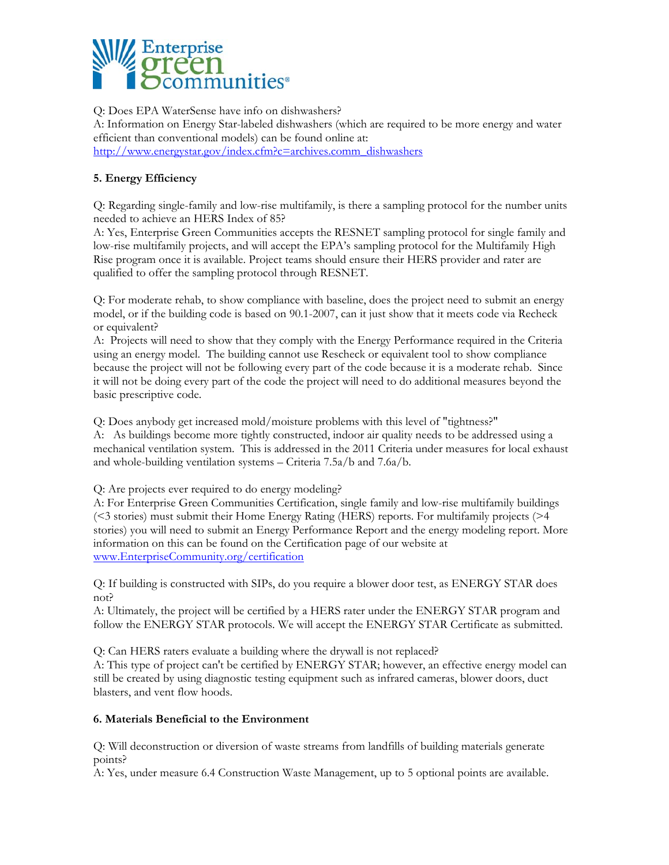

Q: Does EPA WaterSense have info on dishwashers? A: Information on Energy Star-labeled dishwashers (which are required to be more energy and water efficient than conventional models) can be found online at: http://www.energystar.gov/index.cfm?c=archives.comm\_dishwashers

# **5. Energy Efficiency**

Q: Regarding single-family and low-rise multifamily, is there a sampling protocol for the number units needed to achieve an HERS Index of 85?

A: Yes, Enterprise Green Communities accepts the RESNET sampling protocol for single family and low-rise multifamily projects, and will accept the EPA's sampling protocol for the Multifamily High Rise program once it is available. Project teams should ensure their HERS provider and rater are qualified to offer the sampling protocol through RESNET.

Q: For moderate rehab, to show compliance with baseline, does the project need to submit an energy model, or if the building code is based on 90.1-2007, can it just show that it meets code via Recheck or equivalent?

A: Projects will need to show that they comply with the Energy Performance required in the Criteria using an energy model. The building cannot use Rescheck or equivalent tool to show compliance because the project will not be following every part of the code because it is a moderate rehab. Since it will not be doing every part of the code the project will need to do additional measures beyond the basic prescriptive code.

Q: Does anybody get increased mold/moisture problems with this level of "tightness?"

A: As buildings become more tightly constructed, indoor air quality needs to be addressed using a mechanical ventilation system. This is addressed in the 2011 Criteria under measures for local exhaust and whole-building ventilation systems – Criteria 7.5a/b and 7.6a/b.

Q: Are projects ever required to do energy modeling?

A: For Enterprise Green Communities Certification, single family and low-rise multifamily buildings (<3 stories) must submit their Home Energy Rating (HERS) reports. For multifamily projects (>4 stories) you will need to submit an Energy Performance Report and the energy modeling report. More information on this can be found on the Certification page of our website at www.EnterpriseCommunity.org/certification

Q: If building is constructed with SIPs, do you require a blower door test, as ENERGY STAR does not?

A: Ultimately, the project will be certified by a HERS rater under the ENERGY STAR program and follow the ENERGY STAR protocols. We will accept the ENERGY STAR Certificate as submitted.

Q: Can HERS raters evaluate a building where the drywall is not replaced?

A: This type of project can't be certified by ENERGY STAR; however, an effective energy model can still be created by using diagnostic testing equipment such as infrared cameras, blower doors, duct blasters, and vent flow hoods.

# **6. Materials Beneficial to the Environment**

Q: Will deconstruction or diversion of waste streams from landfills of building materials generate points?

A: Yes, under measure 6.4 Construction Waste Management, up to 5 optional points are available.